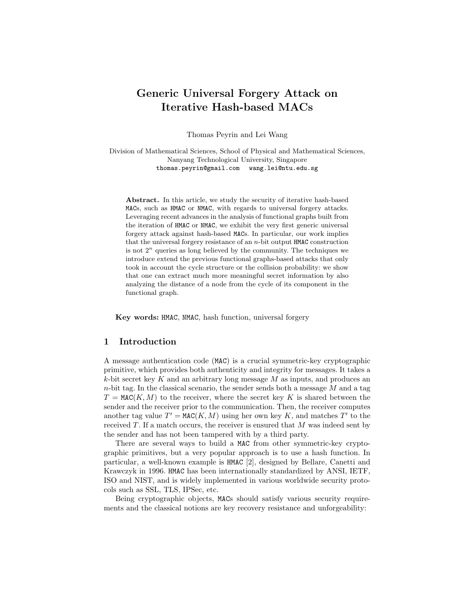# Generic Universal Forgery Attack on Iterative Hash-based MACs

Thomas Peyrin and Lei Wang

Division of Mathematical Sciences, School of Physical and Mathematical Sciences, Nanyang Technological University, Singapore thomas.peyrin@gmail.com wang.lei@ntu.edu.sg

Abstract. In this article, we study the security of iterative hash-based MACs, such as HMAC or NMAC, with regards to universal forgery attacks. Leveraging recent advances in the analysis of functional graphs built from the iteration of HMAC or NMAC, we exhibit the very first generic universal forgery attack against hash-based MACs. In particular, our work implies that the universal forgery resistance of an  $n$ -bit output  $HMAC$  construction is not  $2<sup>n</sup>$  queries as long believed by the community. The techniques we introduce extend the previous functional graphs-based attacks that only took in account the cycle structure or the collision probability: we show that one can extract much more meaningful secret information by also analyzing the distance of a node from the cycle of its component in the functional graph.

Key words: HMAC, NMAC, hash function, universal forgery

# 1 Introduction

A message authentication code (MAC) is a crucial symmetric-key cryptographic primitive, which provides both authenticity and integrity for messages. It takes a  $k$ -bit secret key K and an arbitrary long message M as inputs, and produces an  $n$ -bit tag. In the classical scenario, the sender sends both a message  $M$  and a tag  $T = MAC(K, M)$  to the receiver, where the secret key K is shared between the sender and the receiver prior to the communication. Then, the receiver computes another tag value  $T' = \text{MAC}(K, M)$  using her own key K, and matches T' to the received  $T$ . If a match occurs, the receiver is ensured that  $M$  was indeed sent by the sender and has not been tampered with by a third party.

There are several ways to build a MAC from other symmetric-key cryptographic primitives, but a very popular approach is to use a hash function. In particular, a well-known example is HMAC [2], designed by Bellare, Canetti and Krawczyk in 1996. HMAC has been internationally standardized by ANSI, IETF, ISO and NIST, and is widely implemented in various worldwide security protocols such as SSL, TLS, IPSec, etc.

Being cryptographic objects, MACs should satisfy various security requirements and the classical notions are key recovery resistance and unforgeability: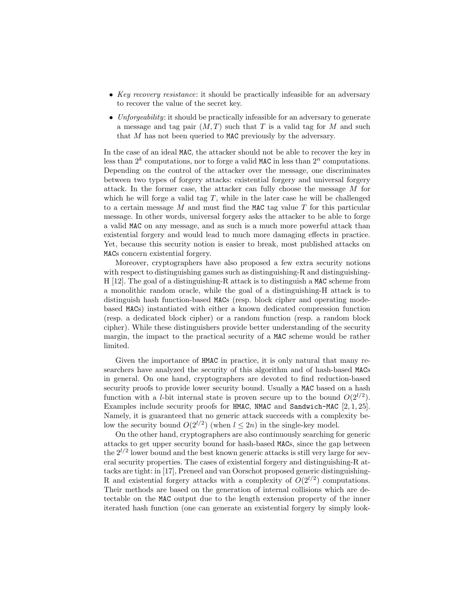- Key recovery resistance: it should be practically infeasible for an adversary to recover the value of the secret key.
- Unforgeability: it should be practically infeasible for an adversary to generate a message and tag pair  $(M, T)$  such that T is a valid tag for M and such that M has not been queried to MAC previously by the adversary.

In the case of an ideal MAC, the attacker should not be able to recover the key in less than  $2^k$  computations, nor to forge a valid MAC in less than  $2^n$  computations. Depending on the control of the attacker over the message, one discriminates between two types of forgery attacks: existential forgery and universal forgery attack. In the former case, the attacker can fully choose the message M for which he will forge a valid tag  $T$ , while in the later case he will be challenged to a certain message  $M$  and must find the MAC tag value  $T$  for this particular message. In other words, universal forgery asks the attacker to be able to forge a valid MAC on any message, and as such is a much more powerful attack than existential forgery and would lead to much more damaging effects in practice. Yet, because this security notion is easier to break, most published attacks on MACs concern existential forgery.

Moreover, cryptographers have also proposed a few extra security notions with respect to distinguishing games such as distinguishing-R and distinguishing-H [12]. The goal of a distinguishing-R attack is to distinguish a MAC scheme from a monolithic random oracle, while the goal of a distinguishing-H attack is to distinguish hash function-based MACs (resp. block cipher and operating modebased MACs) instantiated with either a known dedicated compression function (resp. a dedicated block cipher) or a random function (resp. a random block cipher). While these distinguishers provide better understanding of the security margin, the impact to the practical security of a MAC scheme would be rather limited.

Given the importance of HMAC in practice, it is only natural that many researchers have analyzed the security of this algorithm and of hash-based MACs in general. On one hand, cryptographers are devoted to find reduction-based security proofs to provide lower security bound. Usually a MAC based on a hash function with a *l*-bit internal state is proven secure up to the bound  $O(2^{l/2})$ . Examples include security proofs for HMAC, NMAC and Sandwich-MAC [2, 1, 25]. Namely, it is guaranteed that no generic attack succeeds with a complexity below the security bound  $O(2^{l/2})$  (when  $l \leq 2n$ ) in the single-key model.

On the other hand, cryptographers are also continuously searching for generic attacks to get upper security bound for hash-based MACs, since the gap between the  $2^{l/2}$  lower bound and the best known generic attacks is still very large for several security properties. The cases of existential forgery and distinguishing-R attacks are tight: in [17], Preneel and van Oorschot proposed generic distinguishing-R and existential forgery attacks with a complexity of  $O(2^{l/2})$  computations. Their methods are based on the generation of internal collisions which are detectable on the MAC output due to the length extension property of the inner iterated hash function (one can generate an existential forgery by simply look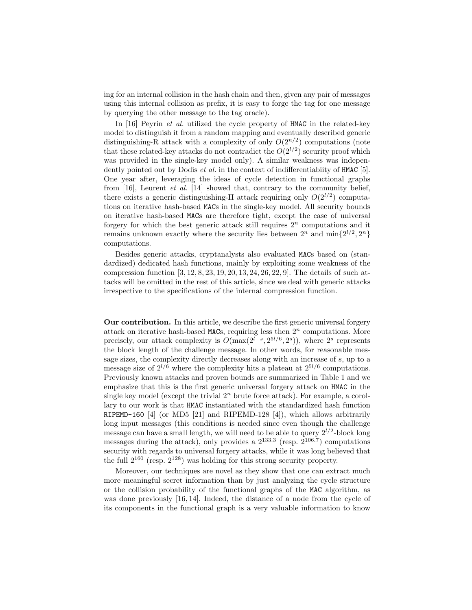ing for an internal collision in the hash chain and then, given any pair of messages using this internal collision as prefix, it is easy to forge the tag for one message by querying the other message to the tag oracle).

In [16] Peyrin *et al.* utilized the cycle property of HMAC in the related-key model to distinguish it from a random mapping and eventually described generic distinguishing-R attack with a complexity of only  $O(2^{n/2})$  computations (note that these related-key attacks do not contradict the  $O(2^{l/2})$  security proof which was provided in the single-key model only). A similar weakness was independently pointed out by Dodis et al. in the context of indifferentiabiity of HMAC [5]. One year after, leveraging the ideas of cycle detection in functional graphs from [16], Leurent et al. [14] showed that, contrary to the community belief, there exists a generic distinguishing-H attack requiring only  $O(2^{l/2})$  computations on iterative hash-based MACs in the single-key model. All security bounds on iterative hash-based MACs are therefore tight, except the case of universal forgery for which the best generic attack still requires  $2<sup>n</sup>$  computations and it remains unknown exactly where the security lies between  $2^n$  and  $\min\{2^{l/2}, 2^n\}$ computations.

Besides generic attacks, cryptanalysts also evaluated MACs based on (standardized) dedicated hash functions, mainly by exploiting some weakness of the compression function [3, 12, 8, 23, 19, 20, 13, 24, 26, 22, 9]. The details of such attacks will be omitted in the rest of this article, since we deal with generic attacks irrespective to the specifications of the internal compression function.

Our contribution. In this article, we describe the first generic universal forgery attack on iterative hash-based MACs, requiring less then  $2<sup>n</sup>$  computations. More precisely, our attack complexity is  $O(\max(2^{l-s}, 2^{5l/6}, 2^s))$ , where  $2^s$  represents the block length of the challenge message. In other words, for reasonable message sizes, the complexity directly decreases along with an increase of s, up to a message size of  $2^{l/6}$  where the complexity hits a plateau at  $2^{5l/6}$  computations. Previously known attacks and proven bounds are summarized in Table 1 and we emphasize that this is the first generic universal forgery attack on HMAC in the single key model (except the trivial  $2<sup>n</sup>$  brute force attack). For example, a corollary to our work is that HMAC instantiated with the standardized hash function RIPEMD-160 [4] (or MD5 [21] and RIPEMD-128 [4]), which allows arbitrarily long input messages (this conditions is needed since even though the challenge message can have a small length, we will need to be able to query  $2^{l/2}$ -block long messages during the attack), only provides a  $2^{133.3}$  (resp.  $2^{106.7}$ ) computations security with regards to universal forgery attacks, while it was long believed that the full  $2^{160}$  (resp.  $2^{128}$ ) was holding for this strong security property.

Moreover, our techniques are novel as they show that one can extract much more meaningful secret information than by just analyzing the cycle structure or the collision probability of the functional graphs of the MAC algorithm, as was done previously [16, 14]. Indeed, the distance of a node from the cycle of its components in the functional graph is a very valuable information to know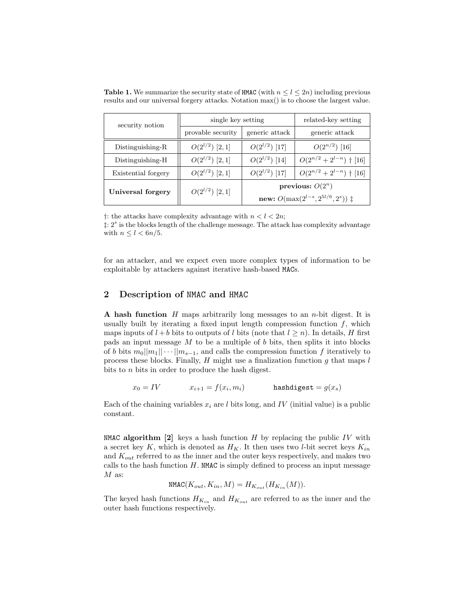| security notion     | single key setting  |                                          | related-key setting         |  |
|---------------------|---------------------|------------------------------------------|-----------------------------|--|
|                     | provable security   | generic attack                           | generic attack              |  |
| $Distinguishing-R$  | $O(2^{l/2})$ [2, 1] | $O(2^{l/2})$ [17]                        | $O(2^{n/2})$ [16]           |  |
| Distinguishing-H    | $O(2^{l/2})$ [2, 1] | $O(2^{l/2})$ [14]                        | $O(2^{n/2}+2^{l-n})$ † [16] |  |
| Existential forgery | $O(2^{l/2})$ [2, 1] | $O(2^{l/2})$ [17]                        | $O(2^{n/2}+2^{l-n})$ † [16] |  |
| Universal forgery   | $O(2^{l/2})$ [2, 1] | previous: $O(2^n)$                       |                             |  |
|                     |                     | new: $O(\max(2^{l-s}, 2^{5l/6}, 2^s))$ ‡ |                             |  |

**Table 1.** We summarize the security state of HMAC (with  $n \leq l \leq 2n$ ) including previous results and our universal forgery attacks. Notation max() is to choose the largest value.

 $\dagger$ : the attacks have complexity advantage with  $n < l < 2n$ ;

 $\ddagger$ :  $2<sup>s</sup>$  is the blocks length of the challenge message. The attack has complexity advantage with  $n \leq l < 6n/5$ .

for an attacker, and we expect even more complex types of information to be exploitable by attackers against iterative hash-based MACs.

# 2 Description of NMAC and HMAC

**A** hash function H maps arbitrarily long messages to an *n*-bit digest. It is usually built by iterating a fixed input length compression function  $f$ , which maps inputs of  $l + b$  bits to outputs of l bits (note that  $l \geq n$ ). In details, H first pads an input message  $M$  to be a multiple of  $b$  bits, then splits it into blocks of b bits  $m_0||m_1|| \cdots ||m_{s-1}$ , and calls the compression function f iteratively to process these blocks. Finally,  $H$  might use a finalization function  $g$  that maps  $l$ bits to n bits in order to produce the hash digest.

 $x_0 = IV$   $x_{i+1} = f(x_i, m_i)$  hashdigest  $= g(x_s)$ 

Each of the chaining variables  $x_i$  are l bits long, and IV (initial value) is a public constant.

NMAC algorithm  $[2]$  keys a hash function H by replacing the public IV with a secret key K, which is denoted as  $H_K$ . It then uses two *l*-bit secret keys  $K_{in}$ and  $K_{out}$  referred to as the inner and the outer keys respectively, and makes two calls to the hash function  $H$ . NMAC is simply defined to process an input message M as:

$$
\text{NMAC}(K_{out}, K_{in}, M) = H_{K_{out}}(H_{K_{in}}(M)).
$$

The keyed hash functions  $H_{K_{in}}$  and  $H_{K_{out}}$  are referred to as the inner and the outer hash functions respectively.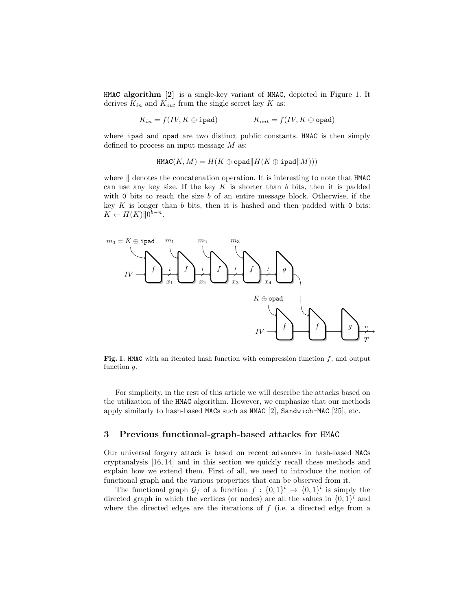HMAC algorithm [2] is a single-key variant of NMAC, depicted in Figure 1. It derives  $K_{in}$  and  $K_{out}$  from the single secret key K as:

$$
K_{in} = f(IV, K \oplus \text{ipad}) \qquad K_{out} = f(IV, K \oplus \text{opad})
$$

where ipad and opad are two distinct public constants. HMAC is then simply defined to process an input message M as:

$$
\text{HMAC}(K, M) = H(K \oplus \text{opad} \Vert H(K \oplus \text{ipad} \Vert M)))
$$

where  $\parallel$  denotes the concatenation operation. It is interesting to note that HMAC can use any key size. If the key  $K$  is shorter than b bits, then it is padded with  $\theta$  bits to reach the size b of an entire message block. Otherwise, if the key  $K$  is longer than  $b$  bits, then it is hashed and then padded with 0 bits:  $K \leftarrow H(K) \parallel 0^{b-n}.$ 



Fig. 1. HMAC with an iterated hash function with compression function  $f$ , and output function g.

For simplicity, in the rest of this article we will describe the attacks based on the utilization of the HMAC algorithm. However, we emphasize that our methods apply similarly to hash-based MACs such as NMAC [2], Sandwich-MAC [25], etc.

### 3 Previous functional-graph-based attacks for HMAC

Our universal forgery attack is based on recent advances in hash-based MACs cryptanalysis [16, 14] and in this section we quickly recall these methods and explain how we extend them. First of all, we need to introduce the notion of functional graph and the various properties that can be observed from it.

The functional graph  $\mathcal{G}_f$  of a function  $f: \{0,1\}^l \to \{0,1\}^l$  is simply the directed graph in which the vertices (or nodes) are all the values in  $\{0,1\}^l$  and where the directed edges are the iterations of  $f$  (i.e. a directed edge from a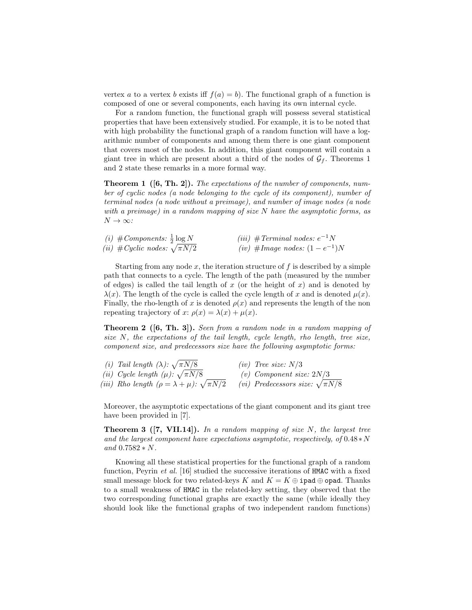vertex a to a vertex b exists iff  $f(a) = b$ . The functional graph of a function is composed of one or several components, each having its own internal cycle.

For a random function, the functional graph will possess several statistical properties that have been extensively studied. For example, it is to be noted that with high probability the functional graph of a random function will have a logarithmic number of components and among them there is one giant component that covers most of the nodes. In addition, this giant component will contain a giant tree in which are present about a third of the nodes of  $\mathcal{G}_f$ . Theorems 1 and 2 state these remarks in a more formal way.

**Theorem 1** ( $[6, Th. 2]$ ). The expectations of the number of components, number of cyclic nodes (a node belonging to the cycle of its component), number of terminal nodes (a node without a preimage), and number of image nodes (a node with a preimage) in a random mapping of size  $N$  have the asymptotic forms, as  $N \to \infty$ :

| (i) #Components: $\frac{1}{2} \log N$ | (iii) #Terminal nodes: $e^{-1}N$ |
|---------------------------------------|----------------------------------|
| (ii) # Cyclic nodes: $\sqrt{\pi N/2}$ | (iv) #Image nodes: $(1-e^{-1})N$ |

Starting from any node  $x$ , the iteration structure of  $f$  is described by a simple path that connects to a cycle. The length of the path (measured by the number of edges) is called the tail length of x (or the height of x) and is denoted by  $\lambda(x)$ . The length of the cycle is called the cycle length of x and is denoted  $\mu(x)$ . Finally, the rho-length of x is denoted  $\rho(x)$  and represents the length of the non repeating trajectory of x:  $\rho(x) = \lambda(x) + \mu(x)$ .

Theorem 2 ([6, Th. 3]). Seen from a random node in a random mapping of size  $N$ , the expectations of the tail length, cycle length, rho length, tree size, component size, and predecessors size have the following asymptotic forms:

| (i) Tail length ( $\lambda$ ): $\sqrt{\pi N/8}$           | $(iv)$ Tree size: $N/3$                           |  |
|-----------------------------------------------------------|---------------------------------------------------|--|
| (ii) Cycle length $(\mu)$ : $\sqrt{\pi N/8}$              | (v) Component size: $2N/3$                        |  |
| (iii) Rho length $(\rho = \lambda + \mu): \sqrt{\pi N/2}$ | ( <i>vi</i> ) Predecessors size: $\sqrt{\pi N/8}$ |  |

Moreover, the asymptotic expectations of the giant component and its giant tree have been provided in [7].

**Theorem 3 ([7, VII.14]).** In a random mapping of size  $N$ , the largest tree and the largest component have expectations asymptotic, respectively, of  $0.48*N$ and 0.7582 ∗ N.

Knowing all these statistical properties for the functional graph of a random function, Peyrin *et al.* [16] studied the successive iterations of **HMAC** with a fixed small message block for two related-keys K and  $K = K \oplus$  ipad  $\oplus$  opad. Thanks to a small weakness of HMAC in the related-key setting, they observed that the two corresponding functional graphs are exactly the same (while ideally they should look like the functional graphs of two independent random functions)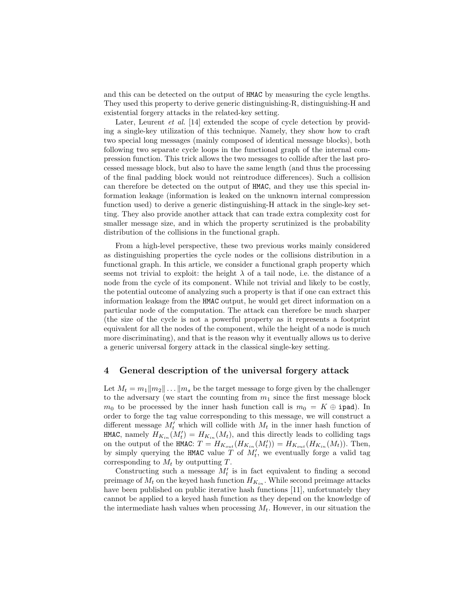and this can be detected on the output of HMAC by measuring the cycle lengths. They used this property to derive generic distinguishing-R, distinguishing-H and existential forgery attacks in the related-key setting.

Later, Leurent *et al.* [14] extended the scope of cycle detection by providing a single-key utilization of this technique. Namely, they show how to craft two special long messages (mainly composed of identical message blocks), both following two separate cycle loops in the functional graph of the internal compression function. This trick allows the two messages to collide after the last processed message block, but also to have the same length (and thus the processing of the final padding block would not reintroduce differences). Such a collision can therefore be detected on the output of HMAC, and they use this special information leakage (information is leaked on the unknown internal compression function used) to derive a generic distinguishing-H attack in the single-key setting. They also provide another attack that can trade extra complexity cost for smaller message size, and in which the property scrutinized is the probability distribution of the collisions in the functional graph.

From a high-level perspective, these two previous works mainly considered as distinguishing properties the cycle nodes or the collisions distribution in a functional graph. In this article, we consider a functional graph property which seems not trivial to exploit: the height  $\lambda$  of a tail node, i.e. the distance of a node from the cycle of its component. While not trivial and likely to be costly, the potential outcome of analyzing such a property is that if one can extract this information leakage from the HMAC output, he would get direct information on a particular node of the computation. The attack can therefore be much sharper (the size of the cycle is not a powerful property as it represents a footprint equivalent for all the nodes of the component, while the height of a node is much more discriminating), and that is the reason why it eventually allows us to derive a generic universal forgery attack in the classical single-key setting.

## 4 General description of the universal forgery attack

Let  $M_t = m_1 || m_2 || \dots || m_s$  be the target message to forge given by the challenger to the adversary (we start the counting from  $m_1$  since the first message block  $m_0$  to be processed by the inner hash function call is  $m_0 = K \oplus \text{ipad}$ . In order to forge the tag value corresponding to this message, we will construct a different message  $M'_t$  which will collide with  $M_t$  in the inner hash function of **HMAC**, namely  $H_{K_{in}}(M_t) = H_{K_{in}}(M_t)$ , and this directly leads to colliding tags on the output of the HMAC:  $T = H_{K_{out}}(H_{K_{in}}(M'_t)) = H_{K_{out}}(H_{K_{in}}(M_t))$ . Then, by simply querying the HMAC value  $T$  of  $M'_t$ , we eventually forge a valid tag corresponding to  $M_t$  by outputting T.

Constructing such a message  $M_t'$  is in fact equivalent to finding a second preimage of  $M_t$  on the keyed hash function  $H_{K_{in}}$ . While second preimage attacks have been published on public iterative hash functions [11], unfortunately they cannot be applied to a keyed hash function as they depend on the knowledge of the intermediate hash values when processing  $M_t$ . However, in our situation the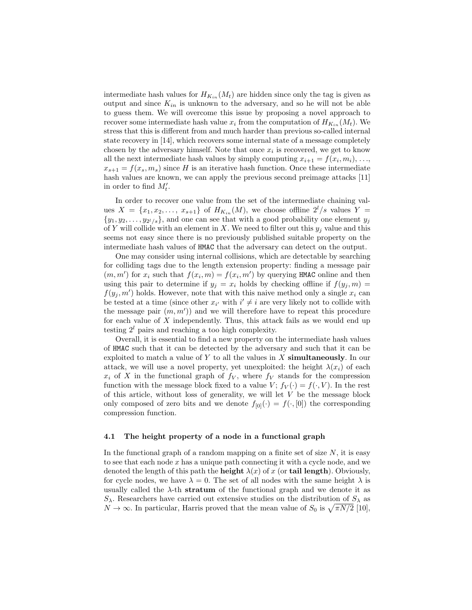intermediate hash values for  $H_{K_{in}}(M_t)$  are hidden since only the tag is given as output and since  $K_{in}$  is unknown to the adversary, and so he will not be able to guess them. We will overcome this issue by proposing a novel approach to recover some intermediate hash value  $x_i$  from the computation of  $H_{K_{in}}(M_t)$ . We stress that this is different from and much harder than previous so-called internal state recovery in [14], which recovers some internal state of a message completely chosen by the adversary himself. Note that once  $x_i$  is recovered, we get to know all the next intermediate hash values by simply computing  $x_{i+1} = f(x_i, m_i), \ldots,$  $x_{s+1} = f(x_s, m_s)$  since H is an iterative hash function. Once these intermediate hash values are known, we can apply the previous second preimage attacks [11] in order to find  $M'_t$ .

In order to recover one value from the set of the intermediate chaining values  $X = \{x_1, x_2, \ldots, x_{s+1}\}\$  of  $H_{K_{in}}(M)$ , we choose offline  $2^l/s$  values  $Y =$  ${y_1, y_2, \ldots, y_{2^l/s}}$ , and one can see that with a good probability one element  $y_j$ of Y will collide with an element in X. We need to filter out this  $y_j$  value and this seems not easy since there is no previously published suitable property on the intermediate hash values of HMAC that the adversary can detect on the output.

One may consider using internal collisions, which are detectable by searching for colliding tags due to the length extension property: finding a message pair  $(m, m')$  for  $x_i$  such that  $f(x_i, m) = f(x_i, m')$  by querying HMAC online and then using this pair to determine if  $y_j = x_i$  holds by checking offline if  $f(y_j, m) =$  $f(y_j, m')$  holds. However, note that with this naive method only a single  $x_i$  can be tested at a time (since other  $x_{i'}$  with  $i' \neq i$  are very likely not to collide with the message pair  $(m, m')$  and we will therefore have to repeat this procedure for each value of  $X$  independently. Thus, this attack fails as we would end up testing  $2^l$  pairs and reaching a too high complexity.

Overall, it is essential to find a new property on the intermediate hash values of HMAC such that it can be detected by the adversary and such that it can be exploited to match a value of Y to all the values in X simultaneously. In our attack, we will use a novel property, yet unexploited: the height  $\lambda(x_i)$  of each  $x_i$  of X in the functional graph of  $f_V$ , where  $f_V$  stands for the compression function with the message block fixed to a value  $V$ ;  $f_V(\cdot) = f(\cdot, V)$ . In the rest of this article, without loss of generality, we will let  $V$  be the message block only composed of zero bits and we denote  $f_{[0]}(\cdot) = f(\cdot, [0])$  the corresponding compression function.

### 4.1 The height property of a node in a functional graph

In the functional graph of a random mapping on a finite set of size  $N$ , it is easy to see that each node  $x$  has a unique path connecting it with a cycle node, and we denoted the length of this path the **height**  $\lambda(x)$  of x (or **tail length**). Obviously, for cycle nodes, we have  $\lambda = 0$ . The set of all nodes with the same height  $\lambda$  is usually called the  $\lambda$ -th stratum of the functional graph and we denote it as  $S_{\lambda}$ . Researchers have carried out extensive studies on the distribution of  $S_{\lambda}$  as  $N \to \infty$ . In particular, Harris proved that the mean value of  $S_0$  is  $\sqrt{\pi N/2}$  [10],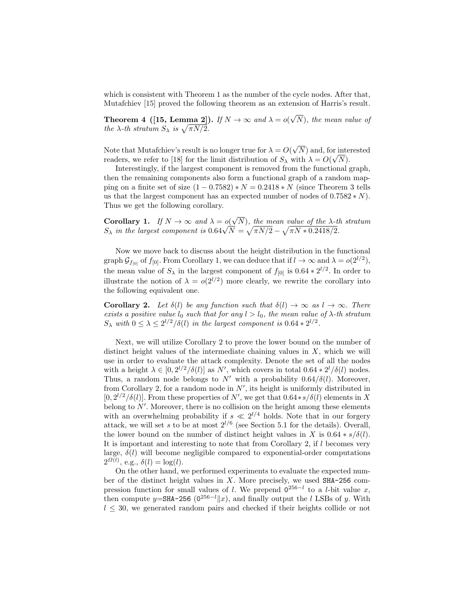which is consistent with Theorem 1 as the number of the cycle nodes. After that, Mutafchiev [15] proved the following theorem as an extension of Harris's result.

**Theorem 4 ([15, Lemma 2]).** If  $N \to \infty$  and  $\lambda = o($ √ N), the mean value of the  $\lambda$ -th stratum  $S_{\lambda}$  is  $\sqrt{\pi N/2}$ .

Note that Mutafchiev's result is no longer true for  $\lambda = O($ √  $(N)$  and, for interested readers, we refer to [18] for the limit distribution of  $S_\lambda$  with  $\lambda = O(\sqrt{N})$ .

Interestingly, if the largest component is removed from the functional graph, then the remaining components also form a functional graph of a random mapping on a finite set of size  $(1 - 0.7582) * N = 0.2418 * N$  (since Theorem 3 tells us that the largest component has an expected number of nodes of  $0.7582*N$ . Thus we get the following corollary.

**Corollary 1.** If  $N \to \infty$  and  $\lambda = o($ √  $(N)$ , the mean value of the  $\lambda$ -th stratum Corollary 1. If  $N \to \infty$  and  $\lambda = o(\sqrt{N})$ , the mean value of the  $\lambda$ -tion  $S_{\lambda}$  in the largest component is  $0.64\sqrt{N} = \sqrt{\pi N/2} - \sqrt{\pi N * 0.2418/2}$ .

Now we move back to discuss about the height distribution in the functional graph  $\mathcal{G}_{f_{[0]}}$  of  $f_{[0]}$ . From Corollary 1, we can deduce that if  $l \to \infty$  and  $\lambda = o(2^{l/2})$ , the mean value of  $S_{\lambda}$  in the largest component of  $f_{[0]}$  is  $0.64 * 2^{l/2}$ . In order to illustrate the notion of  $\lambda = o(2^{l/2})$  more clearly, we rewrite the corollary into the following equivalent one.

**Corollary 2.** Let  $\delta(l)$  be any function such that  $\delta(l) \rightarrow \infty$  as  $l \rightarrow \infty$ . There exists a positive value  $l_0$  such that for any  $l > l_0$ , the mean value of  $\lambda$ -th stratum  $S_{\lambda}$  with  $0 \leq \lambda \leq 2^{l/2}/\delta(l)$  in the largest component is  $0.64 * 2^{l/2}$ .

Next, we will utilize Corollary 2 to prove the lower bound on the number of distinct height values of the intermediate chaining values in  $X$ , which we will use in order to evaluate the attack complexity. Denote the set of all the nodes with a height  $\lambda \in [0, 2^{l/2}/\delta(l)]$  as N', which covers in total  $0.64 * 2^{l}/\delta(l)$  nodes. Thus, a random node belongs to N' with a probability 0.64/ $\delta(l)$ . Moreover, from Corollary 2, for a random node in  $N'$ , its height is uniformly distributed in [0,  $2^{l/2}/\delta(l)$ ]. From these properties of N', we get that  $0.64 * s/\delta(l)$  elements in X belong to  $N'$ . Moreover, there is no collision on the height among these elements with an overwhelming probability if  $s \ll 2^{l/4}$  holds. Note that in our forgery attack, we will set s to be at most  $2^{l/6}$  (see Section 5.1 for the details). Overall, the lower bound on the number of distinct height values in X is  $0.64 * s/\delta(l)$ . It is important and interesting to note that from Corollary 2, if l becomes very large,  $\delta(l)$  will become negligible compared to exponential-order computations  $2^{\Omega(l)}$ , e.g.,  $\delta(l) = \log(l)$ .

On the other hand, we performed experiments to evaluate the expected number of the distinct height values in  $X$ . More precisely, we used  $SHA-256$  compression function for small values of l. We prepend  $0^{256-l}$  to a l-bit value x, then compute y=SHA-256 ( $0^{256-l}$ ||x), and finally output the *l* LSBs of y. With  $l \leq 30$ , we generated random pairs and checked if their heights collide or not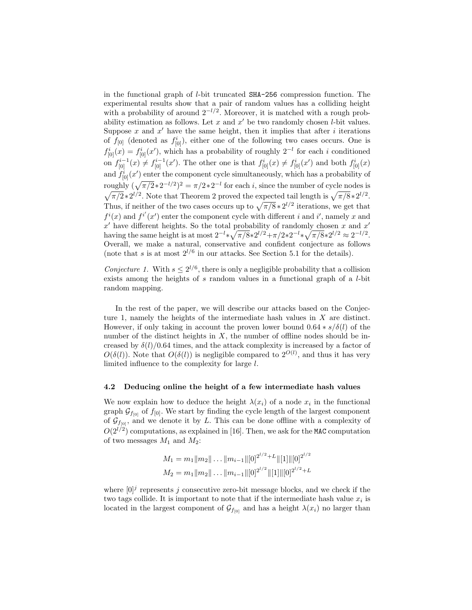in the functional graph of l-bit truncated SHA-256 compression function. The experimental results show that a pair of random values has a colliding height with a probability of around  $2^{-l/2}$ . Moreover, it is matched with a rough probability estimation as follows. Let  $x$  and  $x'$  be two randomly chosen  $l$ -bit values. Suppose  $x$  and  $x'$  have the same height, then it implies that after  $i$  iterations of  $f_{[0]}$  (denoted as  $f_{[0]}^i$ ), either one of the following two cases occurs. One is  $f_{[0]}^i(x) = f_{[0]}^i(x')$ , which has a probability of roughly  $2^{-l}$  for each i conditioned on  $f_{[0]}^{i-1}(x) \neq f_{[0]}^{i-1}(x')$ . The other one is that  $f_{[0]}^i(x) \neq f_{[0]}^i(x')$  and both  $f_{[0]}^i(x)$ and  $f_{[0]}^i(x')$  enter the component cycle simultaneously, which has a probability of roughly  $(\sqrt{\pi/2} * 2^{-l/2})^2 = \pi/2 * 2^{-l}$  for each i, since the number of cycle nodes is  $\sqrt{\pi/2}$ \*2<sup>*l*/2</sup>. Note that Theorem 2 proved the expected tail length is  $\sqrt{\pi/8}$ \*2<sup>*l*/2</sup>. Thus, if neither of the two cases occurs up to  $\sqrt{\pi/8} * 2^{l/2}$  iterations, we get that  $f^{i}(x)$  and  $f^{i'}(x')$  enter the component cycle with different i and i', namely x and  $x'$  have different heights. So the total probability of randomly chosen x and  $x'$ having the same height is at most  $2^{-l} * \sqrt{\pi/8} * 2^{l/2} + \pi/2 * 2^{-l} * \sqrt{\pi/8} * 2^{l/2} \approx 2^{-l/2}$ . Overall, we make a natural, conservative and confident conjecture as follows (note that s is at most  $2^{l/6}$  in our attacks. See Section 5.1 for the details).

Conjecture 1. With  $s \leq 2^{l/6}$ , there is only a negligible probability that a collision exists among the heights of  $s$  random values in a functional graph of a  $l$ -bit random mapping.

In the rest of the paper, we will describe our attacks based on the Conjecture 1, namely the heights of the intermediate hash values in  $X$  are distinct. However, if only taking in account the proven lower bound  $0.64 * s/\delta(l)$  of the number of the distinct heights in  $X$ , the number of offline nodes should be increased by  $\delta(l)/0.64$  times, and the attack complexity is increased by a factor of  $O(\delta(l))$ . Note that  $O(\delta(l))$  is negligible compared to  $2^{O(l)}$ , and thus it has very limited influence to the complexity for large l.

### 4.2 Deducing online the height of a few intermediate hash values

We now explain how to deduce the height  $\lambda(x_i)$  of a node  $x_i$  in the functional graph  $\mathcal{G}_{f_{[0]}}$  of  $f_{[0]}$ . We start by finding the cycle length of the largest component of  $\mathcal{G}_{f_{[0]}}$ , and we denote it by L. This can be done offline with a complexity of  $O(2^{l/2})$  computations, as explained in [16]. Then, we ask for the MAC computation of two messages  $M_1$  and  $M_2$ :

$$
M_1 = m_1 ||m_2|| \dots ||m_{i-1}|| [0]^{2^{l/2} + L} ||[1]|| [0]^{2^{l/2}}
$$
  

$$
M_2 = m_1 ||m_2|| \dots ||m_{i-1}|| [0]^{2^{l/2}} ||[1]|| [0]^{2^{l/2} + L}
$$

where  $[0]^j$  represents j consecutive zero-bit message blocks, and we check if the two tags collide. It is important to note that if the intermediate hash value  $x_i$  is located in the largest component of  $\mathcal{G}_{f_{[0]}}$  and has a height  $\lambda(x_i)$  no larger than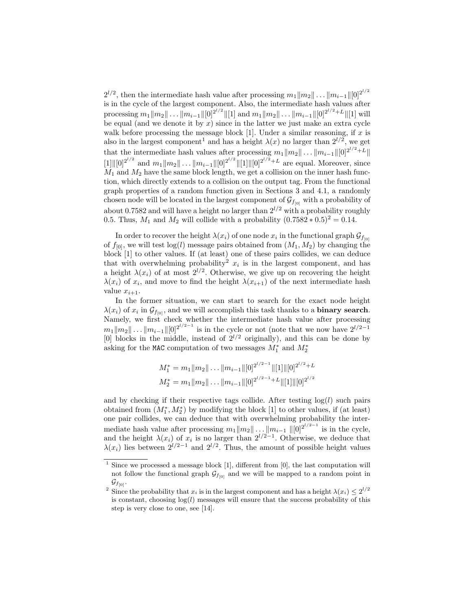$2^{l/2}$ , then the intermediate hash value after processing  $m_1||m_2|| \dots ||m_{i-1}||[0]^{2^{l/2}}$ is in the cycle of the largest component. Also, the intermediate hash values after processing  $m_1\|m_2\|\ldots\|m_{i-1}\|[0]^{2^{l/2}}\|[1]$  and  $m_1\|m_2\|\ldots\|m_{i-1}\|[0]^{2^{l/2}+L}\|[1]$  will be equal (and we denote it by  $x$ ) since in the latter we just make an extra cycle walk before processing the message block [1]. Under a similar reasoning, if  $x$  is also in the largest component<sup>1</sup> and has a height  $\lambda(x)$  no larger than  $2^{l/2}$ , we get that the intermediate hash values after processing  $m_1||m_2|| \dots ||m_{i-1}||[0]^{2^{l/2}+L}||$  $[1] \|[0]^{2^{l/2}}$  and  $m_1 \|m_2 \| \dots \|m_{i-1} \| [0]^{2^{l/2}} \| [1] \| [0]^{2^{l/2}+L}$  are equal. Moreover, since  $M_1$  and  $M_2$  have the same block length, we get a collision on the inner hash function, which directly extends to a collision on the output tag. From the functional graph properties of a random function given in Sections 3 and 4.1, a randomly chosen node will be located in the largest component of  $\mathcal{G}_{f_{[0]}}$  with a probability of about 0.7582 and will have a height no larger than  $2^{l/2}$  with a probability roughly 0.5. Thus,  $M_1$  and  $M_2$  will collide with a probability  $(0.7582 * 0.5)^2 = 0.14$ .

In order to recover the height  $\lambda(x_i)$  of one node  $x_i$  in the functional graph  $\mathcal{G}_{f_{[0]}}$ of  $f_{[0]}$ , we will test  $log(l)$  message pairs obtained from  $(M_1, M_2)$  by changing the block [1] to other values. If (at least) one of these pairs collides, we can deduce that with overwhelming probability<sup>2</sup>  $x_i$  is in the largest component, and has a height  $\lambda(x_i)$  of at most  $2^{l/2}$ . Otherwise, we give up on recovering the height  $\lambda(x_i)$  of  $x_i$ , and move to find the height  $\lambda(x_{i+1})$  of the next intermediate hash value  $x_{i+1}$ .

In the former situation, we can start to search for the exact node height  $\lambda(x_i)$  of  $x_i$  in  $\mathcal{G}_{f_{[0]}}$ , and we will accomplish this task thanks to a **binary search**. Namely, we first check whether the intermediate hash value after processing  $m_1||m_2|| \dots ||m_{i-1}||[0]^{2^{l/2-1}}$  is in the cycle or not (note that we now have  $2^{l/2-1}$ [0] blocks in the middle, instead of  $2^{l/2}$  originally), and this can be done by asking for the  $\texttt{MAC}$  computation of two messages  $M_1^*$  and  $M_2^*$ 

$$
M_1^* = m_1 ||m_2|| \dots ||m_{i-1}|| [0]^{2^{l/2-1}} ||[1]|| [0]^{2^{l/2}+L}
$$
  

$$
M_2^* = m_1 ||m_2|| \dots ||m_{i-1}|| [0]^{2^{l/2-1}+L} ||[1]|| [0]^{2^{l/2}}
$$

and by checking if their respective tags collide. After testing  $log(l)$  such pairs obtained from  $(M_1^*, M_2^*)$  by modifying the block [1] to other values, if (at least) one pair collides, we can deduce that with overwhelming probability the intermediate hash value after processing  $m_1||m_2|| \dots ||m_{i-1}||[0]^{2^{l/2-1}}$  is in the cycle, and the height  $\lambda(x_i)$  of  $x_i$  is no larger than  $2^{l/2-1}$ . Otherwise, we deduce that  $\lambda(x_i)$  lies between  $2^{l/2-1}$  and  $2^{l/2}$ . Thus, the amount of possible height values

 $1$  Since we processed a message block [1], different from [0], the last computation will not follow the functional graph  $\mathcal{G}_{f_{[0]}}$  and we will be mapped to a random point in  $\mathcal{G}_{f_{[0]}}.$ 

<sup>&</sup>lt;sup>2</sup> Since the probability that  $x_i$  is in the largest component and has a height  $\lambda(x_i) \leq 2^{l/2}$ is constant, choosing  $log(l)$  messages will ensure that the success probability of this step is very close to one, see [14].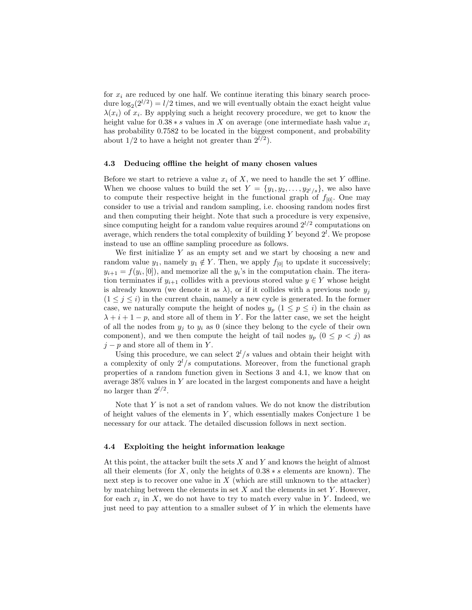for  $x_i$  are reduced by one half. We continue iterating this binary search procedure  $\log_2(2^{l/2}) = l/2$  times, and we will eventually obtain the exact height value  $\lambda(x_i)$  of  $x_i$ . By applying such a height recovery procedure, we get to know the height value for  $0.38 * s$  values in X on average (one intermediate hash value  $x_i$ ) has probability 0.7582 to be located in the biggest component, and probability about  $1/2$  to have a height not greater than  $2^{l/2}$ ).

### 4.3 Deducing offline the height of many chosen values

Before we start to retrieve a value  $x_i$  of X, we need to handle the set Y offline. When we choose values to build the set  $Y = \{y_1, y_2, \ldots, y_{2^l/s}\}\,$ , we also have to compute their respective height in the functional graph of  $f_{[0]}$ . One may consider to use a trivial and random sampling, i.e. choosing random nodes first and then computing their height. Note that such a procedure is very expensive, since computing height for a random value requires around  $2^{l/2}$  computations on average, which renders the total complexity of building Y beyond  $2^l$ . We propose instead to use an offline sampling procedure as follows.

We first initialize  $Y$  as an empty set and we start by choosing a new and random value  $y_1$ , namely  $y_1 \notin Y$ . Then, we apply  $f_{[0]}$  to update it successively;  $y_{i+1} = f(y_i, [0])$ , and memorize all the  $y_i$ 's in the computation chain. The iteration terminates if  $y_{i+1}$  collides with a previous stored value  $y \in Y$  whose height is already known (we denote it as  $\lambda$ ), or if it collides with a previous node  $y_j$  $(1 \leq j \leq i)$  in the current chain, namely a new cycle is generated. In the former case, we naturally compute the height of nodes  $y_p$   $(1 \leq p \leq i)$  in the chain as  $\lambda + i + 1 - p$ , and store all of them in Y. For the latter case, we set the height of all the nodes from  $y_i$  to  $y_i$  as 0 (since they belong to the cycle of their own component), and we then compute the height of tail nodes  $y_p$  ( $0 \leq p \leq j$ ) as  $j - p$  and store all of them in Y.

Using this procedure, we can select  $2^{l}/s$  values and obtain their height with a complexity of only  $2^l/s$  computations. Moreover, from the functional graph properties of a random function given in Sections 3 and 4.1, we know that on average 38% values in Y are located in the largest components and have a height no larger than  $2^{l/2}$ .

Note that  $Y$  is not a set of random values. We do not know the distribution of height values of the elements in  $Y$ , which essentially makes Conjecture 1 be necessary for our attack. The detailed discussion follows in next section.

#### 4.4 Exploiting the height information leakage

At this point, the attacker built the sets  $X$  and  $Y$  and knows the height of almost all their elements (for X, only the heights of  $0.38 * s$  elements are known). The next step is to recover one value in  $X$  (which are still unknown to the attacker) by matching between the elements in set  $X$  and the elements in set  $Y$ . However, for each  $x_i$  in X, we do not have to try to match every value in Y. Indeed, we just need to pay attention to a smaller subset of  $Y$  in which the elements have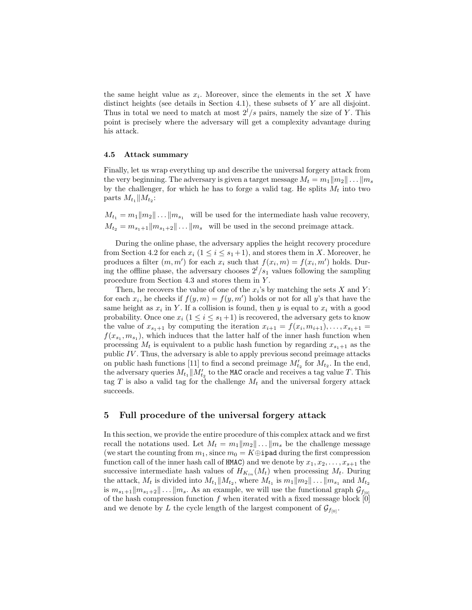the same height value as  $x_i$ . Moreover, since the elements in the set X have distinct heights (see details in Section 4.1), these subsets of Y are all disjoint. Thus in total we need to match at most  $2^{l}/s$  pairs, namely the size of Y. This point is precisely where the adversary will get a complexity advantage during his attack.

#### 4.5 Attack summary

Finally, let us wrap everything up and describe the universal forgery attack from the very beginning. The adversary is given a target message  $M_t = m_1 || m_2 || \dots || m_s$ by the challenger, for which he has to forge a valid tag. He splits  $M_t$  into two parts  $M_{t_1}$  || $M_{t_2}$ :

 $M_{t_1} = m_1 || m_2 || \dots || m_{s_1}$  will be used for the intermediate hash value recovery,  $M_{t_2} = m_{s_1+1} \|m_{s_1+2}\| \ldots \|m_s$  will be used in the second preimage attack.

During the online phase, the adversary applies the height recovery procedure from Section 4.2 for each  $x_i$   $(1 \le i \le s_1+1)$ , and stores them in X. Moreover, he produces a filter  $(m, m')$  for each  $x_i$  such that  $f(x_i, m) = f(x_i, m')$  holds. During the offline phase, the adversary chooses  $2^{l}/s_1$  values following the sampling procedure from Section 4.3 and stores them in Y .

Then, he recovers the value of one of the  $x_i$ 's by matching the sets X and Y: for each  $x_i$ , he checks if  $f(y, m) = f(y, m')$  holds or not for all y's that have the same height as  $x_i$  in Y. If a collision is found, then y is equal to  $x_i$  with a good probability. Once one  $x_i$   $(1 \leq i \leq s_1+1)$  is recovered, the adversary gets to know the value of  $x_{s_1+1}$  by computing the iteration  $x_{i+1} = f(x_i, m_{i+1}), \ldots, x_{s_1+1} =$  $f(x_{s_1}, m_{s_1})$ , which induces that the latter half of the inner hash function when processing  $M_t$  is equivalent to a public hash function by regarding  $x_{s_1+1}$  as the public  $IV$ . Thus, the adversary is able to apply previous second preimage attacks on public hash functions [11] to find a second preimage  $M'_{t_2}$  for  $M_{t_2}$ . In the end, the adversary queries  $M_{t_1}||M'_{t_2}$  to the MAC oracle and receives a tag value T. This tag T is also a valid tag for the challenge  $M_t$  and the universal forgery attack succeeds.

# 5 Full procedure of the universal forgery attack

In this section, we provide the entire procedure of this complex attack and we first recall the notations used. Let  $M_t = m_1 || m_2 || \dots || m_s$  be the challenge message (we start the counting from  $m_1$ , since  $m_0 = K \oplus \text{ipad during the first compression}$ function call of the inner hash call of HMAC) and we denote by  $x_1, x_2, \ldots, x_{s+1}$  the successive intermediate hash values of  $H_{K_{in}}(M_t)$  when processing  $M_t$ . During the attack,  $M_t$  is divided into  $M_{t_1} || M_{t_2}$ , where  $M_{t_1}$  is  $m_1 || m_2 || \dots || m_{s_1}$  and  $M_{t_2}$ is  $m_{s_1+1}||m_{s_1+2}||...||m_s$ . As an example, we will use the functional graph  $\mathcal{G}_{f_{[0]}}$ of the hash compression function  $f$  when iterated with a fixed message block  $[0]$ and we denote by L the cycle length of the largest component of  $\mathcal{G}_{f_{[0]}}$ .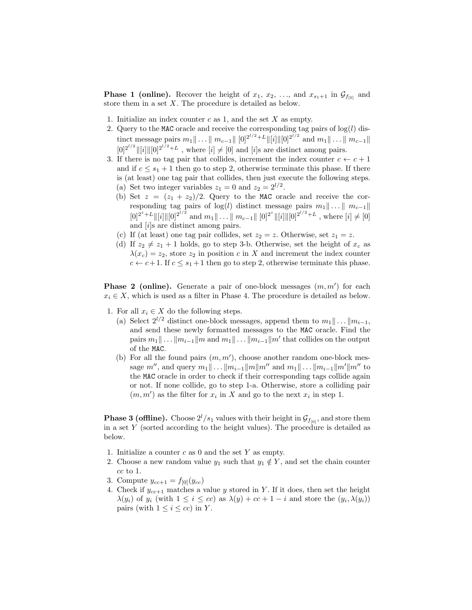**Phase 1 (online).** Recover the height of  $x_1, x_2, \ldots$ , and  $x_{s_1+1}$  in  $\mathcal{G}_{f_{[0]}}$  and store them in a set  $X$ . The procedure is detailed as below.

- 1. Initialize an index counter c as 1, and the set  $X$  as empty.
- 2. Query to the MAC oracle and receive the corresponding tag pairs of  $log(l)$  distinct message pairs  $m_1 \| \ldots \| m_{c-1} \| [0]^{2^{l/2}+L} \| [i] \| [0]^{2^{l/2}}$  and  $m_1 \| \ldots \| m_{c-1} \|$  $[0]^{2^{l/2}} \|[i]\|[0]^{2^{l/2}+L}$ , where  $[i] \neq [0]$  and  $[i]$ s are distinct among pairs.
- 3. If there is no tag pair that collides, increment the index counter  $c \leftarrow c + 1$ and if  $c \leq s_1 + 1$  then go to step 2, otherwise terminate this phase. If there is (at least) one tag pair that collides, then just execute the following steps.
	- (a) Set two integer variables  $z_1 = 0$  and  $z_2 = 2^{l/2}$ .
	- (b) Set  $z = (z_1 + z_2)/2$ . Query to the MAC oracle and receive the corresponding tag pairs of log(l) distinct message pairs  $m_1|| \dots || m_{c-1}||$  $[0]^{2^z+L}$ ||[i]|| $[0]^{2^{l/2}}$  and  $m_1|| \dots || m_{c-1}|| [0]^{2^z}$ ||[i]|| $[0]^{2^{l/2}+L}$ , where  $[i] \neq [0]$ and [i]s are distinct among pairs.
	- (c) If (at least) one tag pair collides, set  $z_2 = z$ . Otherwise, set  $z_1 = z$ .
	- (d) If  $z_2 \neq z_1 + 1$  holds, go to step 3-b. Otherwise, set the height of  $x_c$  as  $\lambda(x_c) = z_2$ , store  $z_2$  in position c in X and increment the index counter  $c \leftarrow c+1$ . If  $c \leq s_1+1$  then go to step 2, otherwise terminate this phase.

**Phase 2 (online).** Generate a pair of one-block messages  $(m, m')$  for each  $x_i \in X$ , which is used as a filter in Phase 4. The procedure is detailed as below.

- 1. For all  $x_i \in X$  do the following steps.
	- (a) Select  $2^{l/2}$  distinct one-block messages, append them to  $m_1\|\ldots\|m_{i-1}$ , and send these newly formatted messages to the MAC oracle. Find the pairs  $m_1\|\ldots\|m_{i-1}\|m$  and  $m_1\|\ldots\|m_{i-1}\|m'$  that collides on the output of the MAC.
	- (b) For all the found pairs  $(m, m')$ , choose another random one-block message m'', and query  $m_1|| \dots ||m_{i-1}||m||m''$  and  $m_1|| \dots ||m_{i-1}||m'||m''$  to the MAC oracle in order to check if their corresponding tags collide again or not. If none collide, go to step 1-a. Otherwise, store a colliding pair  $(m, m')$  as the filter for  $x_i$  in X and go to the next  $x_i$  in step 1.

**Phase 3 (offline).** Choose  $2^l/s_1$  values with their height in  $\mathcal{G}_{f_{[0]}}$ , and store them in a set Y (sorted according to the height values). The procedure is detailed as below.

- 1. Initialize a counter  $c$  as 0 and the set  $Y$  as empty.
- 2. Choose a new random value  $y_1$  such that  $y_1 \notin Y$ , and set the chain counter cc to 1.
- 3. Compute  $y_{cc+1} = f_{[0]}(y_{cc})$
- 4. Check if  $y_{cc+1}$  matches a value y stored in Y. If it does, then set the height  $\lambda(y_i)$  of  $y_i$  (with  $1 \leq i \leq c$ ) as  $\lambda(y) + cc + 1 - i$  and store the  $(y_i, \lambda(y_i))$ pairs (with  $1 \leq i \leq cc$ ) in Y.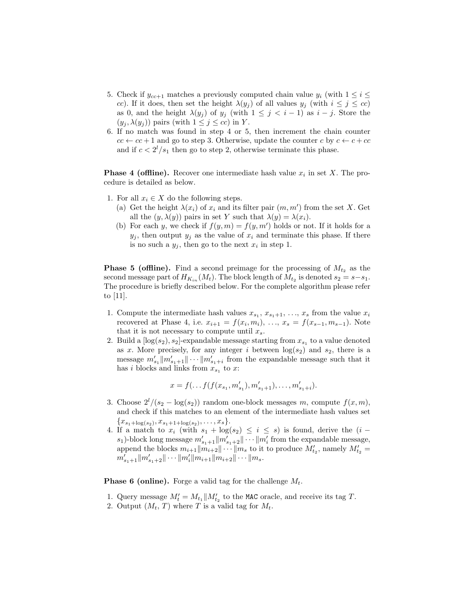- 5. Check if  $y_{cc+1}$  matches a previously computed chain value  $y_i$  (with  $1 \leq i \leq$ cc). If it does, then set the height  $\lambda(y_j)$  of all values  $y_j$  (with  $i \leq j \leq cc$ ) as 0, and the height  $\lambda(y_j)$  of  $y_j$  (with  $1 \leq j \leq i-1$ ) as  $i - j$ . Store the  $(y_j, \lambda(y_j))$  pairs (with  $1 \leq j \leq cc$ ) in Y.
- 6. If no match was found in step 4 or 5, then increment the chain counter  $cc \leftarrow cc + 1$  and go to step 3. Otherwise, update the counter c by  $c \leftarrow c + cc$ and if  $c < 2^l/s_1$  then go to step 2, otherwise terminate this phase.

**Phase 4 (offline).** Recover one intermediate hash value  $x_i$  in set X. The procedure is detailed as below.

- 1. For all  $x_i \in X$  do the following steps.
	- (a) Get the height  $\lambda(x_i)$  of  $x_i$  and its filter pair  $(m, m')$  from the set X. Get all the  $(y, \lambda(y))$  pairs in set Y such that  $\lambda(y) = \lambda(x_i)$ .
	- (b) For each y, we check if  $f(y, m) = f(y, m')$  holds or not. If it holds for a  $y_i$ , then output  $y_i$  as the value of  $x_i$  and terminate this phase. If there is no such a  $y_j$ , then go to the next  $x_i$  in step 1.

**Phase 5 (offline).** Find a second preimage for the processing of  $M_{t_2}$  as the second message part of  $H_{K_{in}}(M_t)$ . The block length of  $M_{t_2}$  is denoted  $s_2 = s - s_1$ . The procedure is briefly described below. For the complete algorithm please refer to [11].

- 1. Compute the intermediate hash values  $x_{s_1}, x_{s_1+1}, \ldots, x_s$  from the value  $x_i$ recovered at Phase 4, i.e.  $x_{i+1} = f(x_i, m_i), \ldots, x_s = f(x_{s-1}, m_{s-1}).$  Note that it is not necessary to compute until  $x_s$ .
- 2. Build a  $[\log(s_2), s_2]$ -expandable message starting from  $x_{s_1}$  to a value denoted as x. More precisely, for any integer i between  $log(s_2)$  and  $s_2$ , there is a message  $m'_{s_1} || m'_{s_1+1} || \cdots || m'_{s_1+i}$  from the expandable message such that it has *i* blocks and links from  $x_{s_1}$  to x:

$$
x = f(\ldots f(f(x_{s_1}, m'_{s_1}), m'_{s_1+1}), \ldots, m'_{s_1+i}).
$$

- 3. Choose  $2^{l}/(s_2 \log(s_2))$  random one-block messages m, compute  $f(x, m)$ , and check if this matches to an element of the intermediate hash values set  ${x_{s_1+\log(s_2)},x_{s_1+1+\log(s_2)},\ldots,x_s}.$
- 4. If a match to  $x_i$  (with  $s_1 + \log(s_2) \leq i \leq s$ ) is found, derive the  $(i$  $s_1$ )-block long message  $m'_{s_1+1}$   $\|m'_{s_1+2}\| \cdots$   $\|m'_i$  from the expandable message, append the blocks  $m_{i+1}||m_{i+2}|| \cdots ||m_s$  to it to produce  $M'_{t_2}$ , namely  $M'_{t_2}$  =  $m'_{s_1+1}\|m'_{s_1+2}\|\cdots\|m'_i\|m_{i+1}\|m_{i+2}\|\cdots\|m_s.$

**Phase 6 (online).** Forge a valid tag for the challenge  $M_t$ .

- 1. Query message  $M'_t = M_{t_1} || M'_{t_2}$  to the MAC oracle, and receive its tag T.
- 2. Output  $(M_t, T)$  where T is a valid tag for  $M_t$ .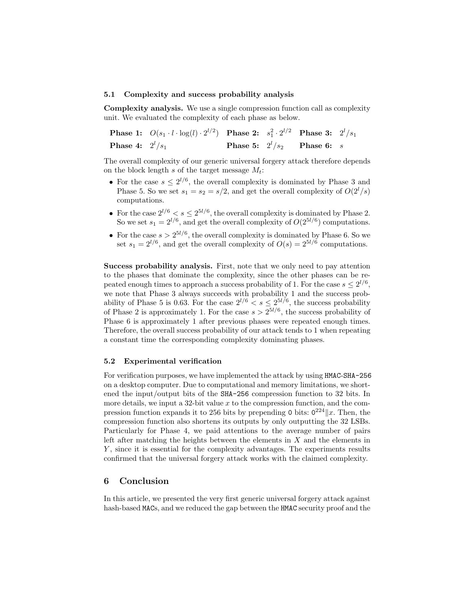### 5.1 Complexity and success probability analysis

Complexity analysis. We use a single compression function call as complexity unit. We evaluated the complexity of each phase as below.

|                             | <b>Phase 1:</b> $O(s_1 \cdot l \cdot \log(l) \cdot 2^{l/2})$ <b>Phase 2:</b> $s_1^2 \cdot 2^{l/2}$ <b>Phase 3:</b> $2^l/s_1$ |  |                                             |  |
|-----------------------------|------------------------------------------------------------------------------------------------------------------------------|--|---------------------------------------------|--|
| <b>Phase 4:</b> $2^{l}/s_1$ |                                                                                                                              |  | <b>Phase 5:</b> $2^l/s_2$ <b>Phase 6:</b> s |  |

The overall complexity of our generic universal forgery attack therefore depends on the block length s of the target message  $M_t$ :

- For the case  $s \leq 2^{l/6}$ , the overall complexity is dominated by Phase 3 and Phase 5. So we set  $s_1 = s_2 = s/2$ , and get the overall complexity of  $O(2^l/s)$ computations.
- For the case  $2^{l/6} < s \le 2^{5l/6}$ , the overall complexity is dominated by Phase 2. So we set  $s_1 = 2^{l/6}$ , and get the overall complexity of  $O(2^{5l/6})$  computations.
- For the case  $s > 2^{5l/6}$ , the overall complexity is dominated by Phase 6. So we set  $s_1 = 2^{l/6}$ , and get the overall complexity of  $O(s) = 2^{5l/6}$  computations.

Success probability analysis. First, note that we only need to pay attention to the phases that dominate the complexity, since the other phases can be repeated enough times to approach a success probability of 1. For the case  $s \leq 2^{l/6}$ , we note that Phase 3 always succeeds with probability 1 and the success probability of Phase 5 is 0.63. For the case  $2^{l/6} < s \leq 2^{5l/6}$ , the success probability of Phase 2 is approximately 1. For the case  $s > 2^{5l/6}$ , the success probability of Phase 6 is approximately 1 after previous phases were repeated enough times. Therefore, the overall success probability of our attack tends to 1 when repeating a constant time the corresponding complexity dominating phases.

#### 5.2 Experimental verification

For verification purposes, we have implemented the attack by using HMAC-SHA-256 on a desktop computer. Due to computational and memory limitations, we shortened the input/output bits of the SHA-256 compression function to 32 bits. In more details, we input a 32-bit value  $x$  to the compression function, and the compression function expands it to 256 bits by prepending 0 bits:  $0^{224}$  ||x. Then, the compression function also shortens its outputs by only outputting the 32 LSBs. Particularly for Phase 4, we paid attentions to the average number of pairs left after matching the heights between the elements in  $X$  and the elements in Y, since it is essential for the complexity advantages. The experiments results confirmed that the universal forgery attack works with the claimed complexity.

### 6 Conclusion

In this article, we presented the very first generic universal forgery attack against hash-based MACs, and we reduced the gap between the HMAC security proof and the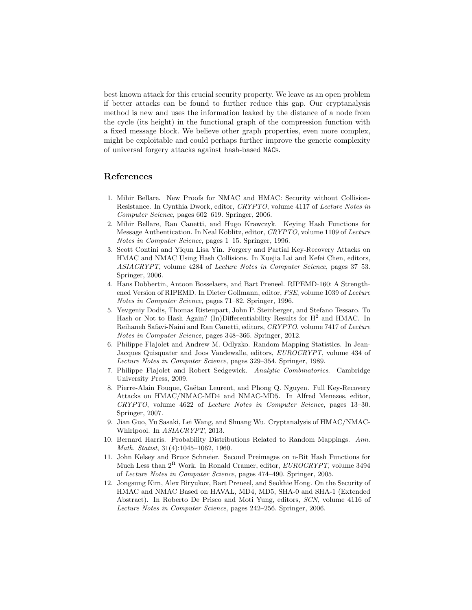best known attack for this crucial security property. We leave as an open problem if better attacks can be found to further reduce this gap. Our cryptanalysis method is new and uses the information leaked by the distance of a node from the cycle (its height) in the functional graph of the compression function with a fixed message block. We believe other graph properties, even more complex, might be exploitable and could perhaps further improve the generic complexity of universal forgery attacks against hash-based MACs.

# References

- 1. Mihir Bellare. New Proofs for NMAC and HMAC: Security without Collision-Resistance. In Cynthia Dwork, editor, CRYPTO, volume 4117 of Lecture Notes in Computer Science, pages 602–619. Springer, 2006.
- 2. Mihir Bellare, Ran Canetti, and Hugo Krawczyk. Keying Hash Functions for Message Authentication. In Neal Koblitz, editor, CRYPTO, volume 1109 of Lecture Notes in Computer Science, pages 1–15. Springer, 1996.
- 3. Scott Contini and Yiqun Lisa Yin. Forgery and Partial Key-Recovery Attacks on HMAC and NMAC Using Hash Collisions. In Xuejia Lai and Kefei Chen, editors, ASIACRYPT, volume 4284 of Lecture Notes in Computer Science, pages 37–53. Springer, 2006.
- 4. Hans Dobbertin, Antoon Bosselaers, and Bart Preneel. RIPEMD-160: A Strengthened Version of RIPEMD. In Dieter Gollmann, editor, FSE, volume 1039 of Lecture Notes in Computer Science, pages 71–82. Springer, 1996.
- 5. Yevgeniy Dodis, Thomas Ristenpart, John P. Steinberger, and Stefano Tessaro. To Hash or Not to Hash Again? (In)Differentiability Results for  $H^2$  and HMAC. In Reihaneh Safavi-Naini and Ran Canetti, editors, CRYPTO, volume 7417 of Lecture Notes in Computer Science, pages 348–366. Springer, 2012.
- 6. Philippe Flajolet and Andrew M. Odlyzko. Random Mapping Statistics. In Jean-Jacques Quisquater and Joos Vandewalle, editors, EUROCRYPT, volume 434 of Lecture Notes in Computer Science, pages 329–354. Springer, 1989.
- 7. Philippe Flajolet and Robert Sedgewick. Analytic Combinatorics. Cambridge University Press, 2009.
- 8. Pierre-Alain Fouque, Gaëtan Leurent, and Phong Q. Nguyen. Full Key-Recovery Attacks on HMAC/NMAC-MD4 and NMAC-MD5. In Alfred Menezes, editor, CRYPTO, volume 4622 of Lecture Notes in Computer Science, pages 13–30. Springer, 2007.
- 9. Jian Guo, Yu Sasaki, Lei Wang, and Shuang Wu. Cryptanalysis of HMAC/NMAC-Whirlpool. In ASIACRYPT, 2013.
- 10. Bernard Harris. Probability Distributions Related to Random Mappings. Ann. Math. Statist, 31(4):1045–1062, 1960.
- 11. John Kelsey and Bruce Schneier. Second Preimages on n-Bit Hash Functions for Much Less than  $2^{n}$  Work. In Ronald Cramer, editor, *EUROCRYPT*, volume 3494 of Lecture Notes in Computer Science, pages 474–490. Springer, 2005.
- 12. Jongsung Kim, Alex Biryukov, Bart Preneel, and Seokhie Hong. On the Security of HMAC and NMAC Based on HAVAL, MD4, MD5, SHA-0 and SHA-1 (Extended Abstract). In Roberto De Prisco and Moti Yung, editors, SCN, volume 4116 of Lecture Notes in Computer Science, pages 242–256. Springer, 2006.